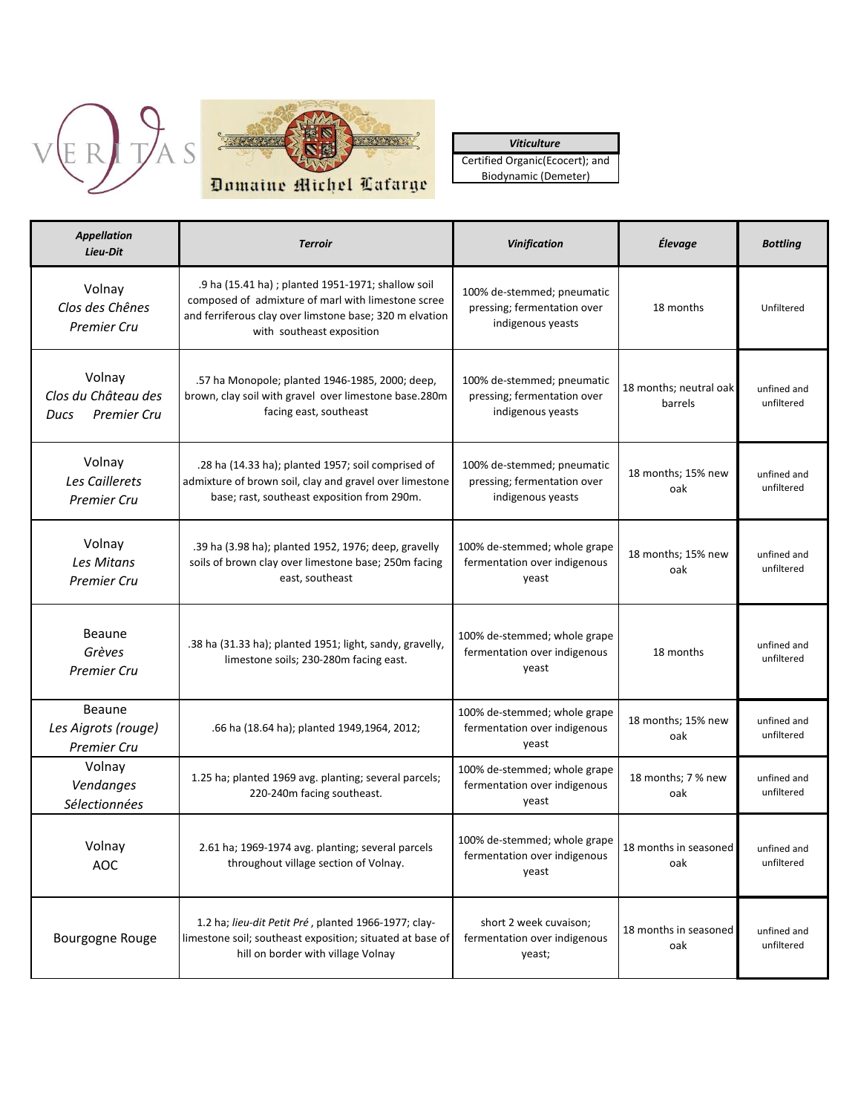



*Viticulture* Certified Organic(Ecocert); and Biodynamic (Demeter)

| <b>Appellation</b><br>Lieu-Dit                              | <b>Terroir</b>                                                                                                                                                                                   | <b>Vinification</b>                                                            | Élevage                           | <b>Bottling</b>           |
|-------------------------------------------------------------|--------------------------------------------------------------------------------------------------------------------------------------------------------------------------------------------------|--------------------------------------------------------------------------------|-----------------------------------|---------------------------|
| Volnay<br>Clos des Chênes<br><b>Premier Cru</b>             | .9 ha (15.41 ha) ; planted 1951-1971; shallow soil<br>composed of admixture of marl with limestone scree<br>and ferriferous clay over limstone base; 320 m elvation<br>with southeast exposition | 100% de-stemmed; pneumatic<br>pressing; fermentation over<br>indigenous yeasts | 18 months                         | Unfiltered                |
| Volnay<br>Clos du Château des<br><b>Premier Cru</b><br>Ducs | .57 ha Monopole; planted 1946-1985, 2000; deep,<br>brown, clay soil with gravel over limestone base.280m<br>facing east, southeast                                                               | 100% de-stemmed; pneumatic<br>pressing; fermentation over<br>indigenous yeasts | 18 months; neutral oak<br>barrels | unfined and<br>unfiltered |
| Volnay<br>Les Caillerets<br><b>Premier Cru</b>              | .28 ha (14.33 ha); planted 1957; soil comprised of<br>admixture of brown soil, clay and gravel over limestone<br>base; rast, southeast exposition from 290m.                                     | 100% de-stemmed; pneumatic<br>pressing; fermentation over<br>indigenous yeasts | 18 months; 15% new<br>oak         | unfined and<br>unfiltered |
| Volnay<br>Les Mitans<br><b>Premier Cru</b>                  | .39 ha (3.98 ha); planted 1952, 1976; deep, gravelly<br>soils of brown clay over limestone base; 250m facing<br>east, southeast                                                                  | 100% de-stemmed; whole grape<br>fermentation over indigenous<br>yeast          | 18 months; 15% new<br>oak         | unfined and<br>unfiltered |
| Beaune<br>Grèves<br><b>Premier Cru</b>                      | .38 ha (31.33 ha); planted 1951; light, sandy, gravelly,<br>limestone soils; 230-280m facing east.                                                                                               | 100% de-stemmed; whole grape<br>fermentation over indigenous<br>yeast          | 18 months                         | unfined and<br>unfiltered |
| Beaune<br>Les Aigrots (rouge)<br><b>Premier Cru</b>         | .66 ha (18.64 ha); planted 1949,1964, 2012;                                                                                                                                                      | 100% de-stemmed; whole grape<br>fermentation over indigenous<br>yeast          | 18 months; 15% new<br>oak         | unfined and<br>unfiltered |
| Volnay<br>Vendanges<br>Sélectionnées                        | 1.25 ha; planted 1969 avg. planting; several parcels;<br>220-240m facing southeast.                                                                                                              | 100% de-stemmed; whole grape<br>fermentation over indigenous<br>yeast          | 18 months; 7 % new<br>oak         | unfined and<br>unfiltered |
| Volnay<br><b>AOC</b>                                        | 2.61 ha; 1969-1974 avg. planting; several parcels<br>throughout village section of Volnay.                                                                                                       | 100% de-stemmed; whole grape<br>fermentation over indigenous<br>yeast          | 18 months in seasoned<br>oak      | unfined and<br>unfiltered |
| Bourgogne Rouge                                             | 1.2 ha; lieu-dit Petit Pré, planted 1966-1977; clay-<br>limestone soil; southeast exposition; situated at base of<br>hill on border with village Volnay                                          | short 2 week cuvaison;<br>fermentation over indigenous<br>yeast;               | 18 months in seasoned<br>oak      | unfined and<br>unfiltered |